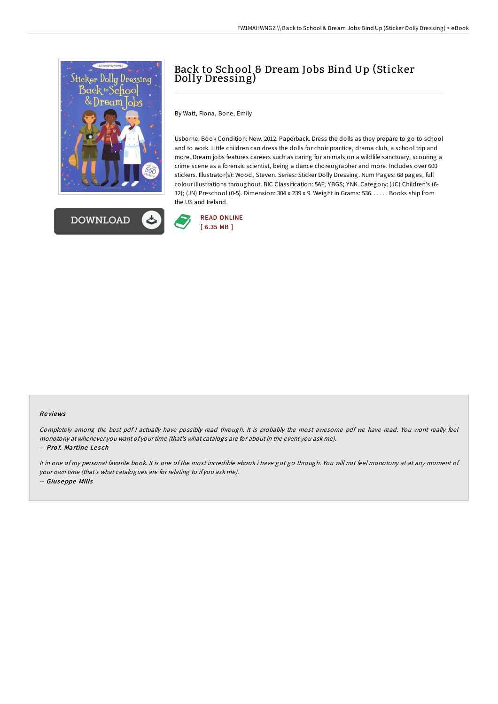



# Back to School & Dream Jobs Bind Up (Sticker Dolly Dressing)

By Watt, Fiona, Bone, Emily

Usborne. Book Condition: New. 2012. Paperback. Dress the dolls as they prepare to go to school and to work. Little children can dress the dolls for choir practice, drama club, a school trip and more. Dream jobs features careers such as caring for animals on a wildlife sanctuary, scouring a crime scene as a forensic scientist, being a dance choreographer and more. Includes over 600 stickers. Illustrator(s): Wood, Steven. Series: Sticker Dolly Dressing. Num Pages: 68 pages, full colour illustrations throughout. BIC Classification: 5AF; YBGS; YNK. Category: (JC) Children's (6- 12); (JN) Preschool (0-5). Dimension: 304 x 239 x 9. Weight in Grams: 536. . . . . . Books ship from the US and Ireland.



#### Re views

Completely among the best pdf <sup>I</sup> actually have possibly read through. It is probably the most awesome pdf we have read. You wont really feel monotony at whenever you want of your time (that's what catalogs are for about in the event you ask me). -- Prof. Martine Lesch

It in one of my personal favorite book. It is one of the most incredible ebook i have got go through. You will not feel monotony at at any moment of your own time (that's what catalogues are for relating to if you ask me). -- Giuseppe Mills